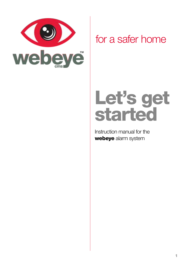

### for a safer home

### Let's get started

Instruction manual for the webeye alarm system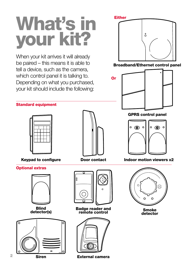## What's in your kit?

When your kit arrives it will already be paired – this means it is able to tell a device, such as the camera, which control panel it is talking to. Depending on what you purchased, your kit should include the following:

#### **Either**



Broadband/Ethernet control panel



Standard equipment



Optional extras



**Blind**<br>detector(s)





Door contact



**Badge reader and** remote control Smoke



Siren External camera

GPRS control panel



Keypad to configure Indoor contact Indoor motion viewers x2



detector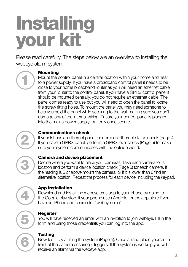## **Installing** your kit

Please read carefully. The steps below are an overview to installing the webeye alarm system:

## 1

#### **Mounting**

Mount the control panel in a central location within your home and near to a power supply. If you have a broadband control panel it needs to be close to your home broadband router as you will need an ethernet cable from your router to the control panel. If you have a GPRS control panel it should be mounted centrally, you do not require an ethernet cable. The panel comes ready to use but you will need to open the panel to locate the screw fitting holes. To mount the panel you may need someone to help you hold the panel while securing to the wall making sure you don't damage any of the internal wiring. Ensure your control panel is plugged into the mains power supply, but only once secure.

#### Communications check

If your kit has an ethernet panel, perform an ethernet status check (Page 4). If you have a GPRS panel, perform a GPRS level check (Page 5) to make sure your system communicates with the outside world.

# 3

2

#### Camera and device placement

Decide where you want to place your cameras. Take each camera to its location and perform a device location check (Page 5) for each camera. If the reading is 6 or above mount the camera, or if it is lower than 6 find an alternative location. Repeat the process for each device, including the keypad.

### App installation

Download and install the webeye cms app to your phone by going to the Google play store if your phone uses Android, or the app store if you have an iPhone and search for "webeye cms".

# 5 6

4

#### **Register**

You will have received an email with an invitation to join webeye. Fill in the form and using those credentials you can log Into the app.

#### **Testing**

Now test it by arming the system (Page 5). Once armed place yourself in front of the camera ensuring it triggers. If the system is working you will receive an alarm via the webeye app.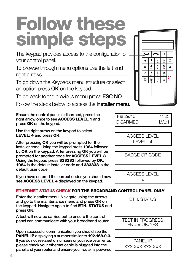### Follow these simple steps

The keypad provides access to the configuration of your control panel.

To browse through menu options use the left and right arrows.

To go down the Keypads menu structure or select an option press  $OK$  on the keypad.

To go back to the previous menu press **ESC NO**.

Follow the steps below to access the **installer menu.** 

Ensure the control panel is disarmed, press the right arrow once to see ACCESS LEVEL 1 and press OK on the keypad.

Use the right arrow on the keypad to select LEVEL: 4 and press OK.

After pressing OK you will be prompted for the installer code. Using the keypad press 1984 followed by OK on the keypad. After pressing OK you will be prompted for another code for **ACCESS LEVEL 3.** Using the keypad press 333333 followed by OK. 1984 is the default installer code and 333333 is the default user code.

<sup>4</sup> If you have entered the correct codes you should now see **ACCESS LEVEL 4** displayed on the keypad.

#### ETHERNET STATUS CHECK FOR THE BROADBAND CONTROL PANEL ONLY

Enter the installer menu. Navigate using the arrows  $\sqrt{\frac{FTH}{FTH}}$ and go to the maintenance menu and press OK on the keypad. Navigate again to find **ETH. STATUS** and press OK.

A test will now be carried out to ensure the control panel can communicate with your broadband router.

Upon successful communication you should see the PANEL IP displaying a number similar to 192.168.0.3. If you do not see a set of numbers or you receive an error, please check your ethernet cable is plugged into the panel and your router and ensure your router is powered.

| Tue 29/10       | 11:23         |
|-----------------|---------------|
| <b>DISARMED</b> | $1 \vee 1$ :1 |

ACCESS LEVEL  $I$  FVFL  $\cdot$  4

BADGE OR CODE

ACCESS LEVEL

TEST IN PROGRESS  $END = OK/YES$ 

PANEL IP XXX.XXX.XXX.XXX

 $\hat{a}$  $\Omega$  $\frac{2}{10}$  $\frac{3}{4}$  $\widehat{\mathbf{r}}$  $\overline{4}$  $\overline{5}$  $\overline{6}$  $\hat{\mathbf{a}}$  $\overline{\mathbf{8}}$  $\overline{9}$ ᅙ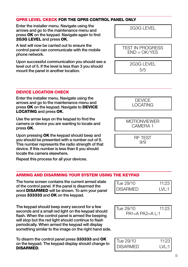#### GPRS LEVEL CKECK FOR THE GPRS CONTROL PANEL ONLY

Enter the installer menu. Navigate using the  $\sqrt{2G3G + FV}$ arrows and go to the maintenance menu and press OK on the keypad. Navigate again to find 2G3G LEVEL and press OK.

A test will now be carried out to ensure the control panel can communicate with the mobile phone network.

Upon successful communication you should see a level out of 5. If the level is less than 3 you should mount the panel in another location.

#### DEVICE LOCATION CHECK

Enter the installer menu. Navigate using the arrows and go to the maintenance menu and press OK on the keypad. Navigate to DEVICE LOCATING and press OK.

Use the arrow keys on the keypad to find the camera or device you are wanting to locate and press OK.

Upon pressing OK the keypad should beep and you should be presented with a number out of 9. This number represents the radio strength of that device. If this number is less than 6 you should locate the camera elsewhere.

Repeat this process for all your devices.

#### ARMING AND DISARMING YOUR SYSTEM USING THE KEYPAD

The home screen contains the current armed state of the control panel. If the panel is disarmed the word DISARMED will be shown. To arm your panel press 333333 and OK on the keypad.

The keypad should beep every second for a few seconds and a small red light on the keypad should flash. When the control panel is armed the beeping will stop but the red light should continue to flash periodically. When armed the keypad will display something similar to the image on the right hand side.

To disarm the control panel press 3333333 and OK on the keypad. The keypad display should change to DISARMED.

| Tue 29/10 | 11:23   |
|-----------|---------|
| DISARMED  | LVL:1 I |

| Tue 29/10         | 11.23 |
|-------------------|-------|
| $PA1=A PA2=A L:1$ |       |

| Tue 29/10 | 11:23   |
|-----------|---------|
| DISARMED  | I VI 11 |





**MOTIONVIEWER** CAMERA 1

> RF TEST 9/9

TEST IN PROGRESS  $FND = OK/YFS$ 

2G3G LEVEL

5/5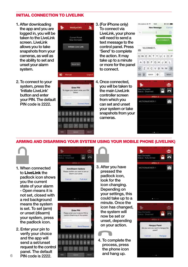#### INITIAL CONNECTION TO LIVELINK

- 1. After downloading the app and you are logged in, you will be taken to the LiveLink screen. LiveLink allows you to take snapshots from your cameras, as well as the ability to set and unset your alarm system.
- **WebEyeCMS** Current Pares Initiate Live Link **Corp. Clini R** Manual
- 2. To connect to your system, press the 'Initiate LiveLink' button and enter your PIN. The default PIN code is 2222.



- 3. (For iPhone only) To connect via LiveLink, your phone will need to send a text message to the control panel. Press 'Send' to complete the action. It may take up to a minute or more for the panel to connect.
- 4. Once connected, you will be taken to the main LiveLink controller screen from which you can set and unset your system or take snapshots from your cameras.





ARMING AND DISARMING YOUR SYSTEM USING YOUR MOBILE PHONE (LIVELINK)



- 1. When connected to LiveLink the padlock icon shows you the current state of your alarm - Open means it is not set, closed with a red background means the system is set. To set (arm) or unset (disarm) your system, press the padlock icon.
- 2. Enter your pin to verify your choice and the app will send a set/unset request to the control panel. The default panel. The default<br>6 PIN code is 2222.



- 3. After you have pressed the padlock icon, look for the icon changing. Depending on your settings, this could take up to a minute. Once the icon has changed, the system will now be set or unset, depending on your action.
	- 4. To complete the process, press the phone icon

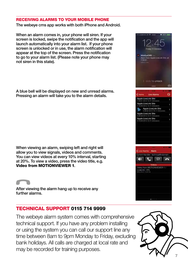#### RECEIVING ALARMS TO YOUR MOBILE PHONE

The webeye cms app works with both iPhone and Android.

When an alarm comes in, your phone will siren. If your screen is locked, swipe the notification and the app will launch automatically into your alarm list. If your phone screen is unlocked or in use, the alarm notification will appear at the top of the screen. Press the notification to go to your alarm list. (Please note your phone may not siren in this state).

A blue bell will be displayed on new and unread alarms. Pressing an alarm will take you to the alarm details.

When viewing an alarm, swiping left and right will allow you to view signals, videos and comments. You can view videos at every 10% interval, starting at 20%. To view a video, press the video title, e.g. Video from MOTIONVIEWER 1.

After viewing the alarm hang up to receive any further alarms.

#### TECHNICAL SUPPORT 0115 714 9999

The webeye alarm system comes with comprehensive technical support. If you have any problem installing or using the system you can call our support line any time between 8am to 9pm Monday to Friday, excluding bank holidays. All calls are charged at local rate and may be recorded for training purposes.